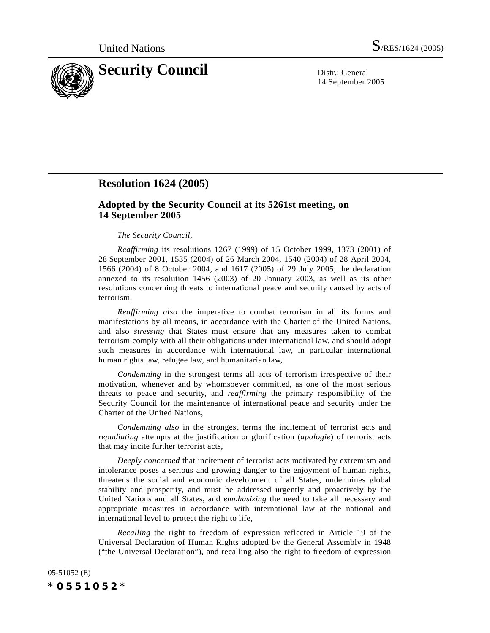

14 September 2005

## **Resolution 1624 (2005)**

## **Adopted by the Security Council at its 5261st meeting, on 14 September 2005**

## *The Security Council*,

*Reaffirming* its resolutions 1267 (1999) of 15 October 1999, 1373 (2001) of 28 September 2001, 1535 (2004) of 26 March 2004, 1540 (2004) of 28 April 2004, 1566 (2004) of 8 October 2004, and 1617 (2005) of 29 July 2005, the declaration annexed to its resolution 1456 (2003) of 20 January 2003, as well as its other resolutions concerning threats to international peace and security caused by acts of terrorism,

*Reaffirming also* the imperative to combat terrorism in all its forms and manifestations by all means, in accordance with the Charter of the United Nations, and also *stressing* that States must ensure that any measures taken to combat terrorism comply with all their obligations under international law, and should adopt such measures in accordance with international law, in particular international human rights law, refugee law, and humanitarian law,

*Condemning* in the strongest terms all acts of terrorism irrespective of their motivation, whenever and by whomsoever committed, as one of the most serious threats to peace and security, and *reaffirming* the primary responsibility of the Security Council for the maintenance of international peace and security under the Charter of the United Nations,

*Condemning also* in the strongest terms the incitement of terrorist acts and *repudiating* attempts at the justification or glorification (*apologie*) of terrorist acts that may incite further terrorist acts,

*Deeply concerned* that incitement of terrorist acts motivated by extremism and intolerance poses a serious and growing danger to the enjoyment of human rights, threatens the social and economic development of all States, undermines global stability and prosperity, and must be addressed urgently and proactively by the United Nations and all States, and *emphasizing* the need to take all necessary and appropriate measures in accordance with international law at the national and international level to protect the right to life,

*Recalling* the right to freedom of expression reflected in Article 19 of the Universal Declaration of Human Rights adopted by the General Assembly in 1948 ("the Universal Declaration"), and recalling also the right to freedom of expression

05-51052 (E) *\*0551052\**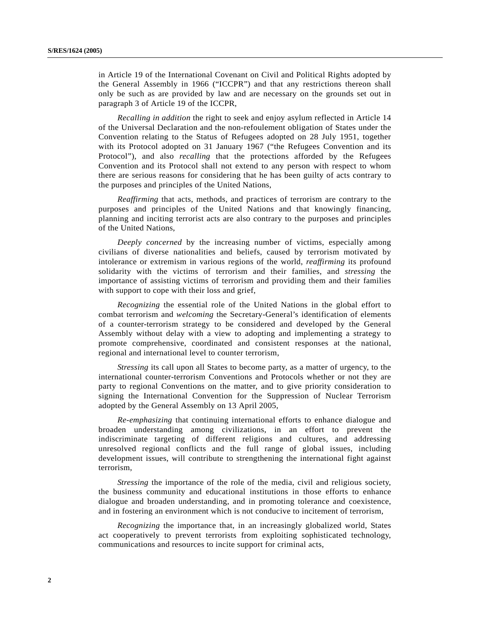in Article 19 of the International Covenant on Civil and Political Rights adopted by the General Assembly in 1966 ("ICCPR") and that any restrictions thereon shall only be such as are provided by law and are necessary on the grounds set out in paragraph 3 of Article 19 of the ICCPR,

*Recalling in addition* the right to seek and enjoy asylum reflected in Article 14 of the Universal Declaration and the non-refoulement obligation of States under the Convention relating to the Status of Refugees adopted on 28 July 1951, together with its Protocol adopted on 31 January 1967 ("the Refugees Convention and its Protocol"), and also *recalling* that the protections afforded by the Refugees Convention and its Protocol shall not extend to any person with respect to whom there are serious reasons for considering that he has been guilty of acts contrary to the purposes and principles of the United Nations,

*Reaffirming* that acts, methods, and practices of terrorism are contrary to the purposes and principles of the United Nations and that knowingly financing, planning and inciting terrorist acts are also contrary to the purposes and principles of the United Nations,

*Deeply concerned* by the increasing number of victims, especially among civilians of diverse nationalities and beliefs, caused by terrorism motivated by intolerance or extremism in various regions of the world, *reaffirming* its profound solidarity with the victims of terrorism and their families, and *stressing* the importance of assisting victims of terrorism and providing them and their families with support to cope with their loss and grief,

*Recognizing* the essential role of the United Nations in the global effort to combat terrorism and *welcoming* the Secretary-General's identification of elements of a counter-terrorism strategy to be considered and developed by the General Assembly without delay with a view to adopting and implementing a strategy to promote comprehensive, coordinated and consistent responses at the national, regional and international level to counter terrorism,

*Stressing* its call upon all States to become party, as a matter of urgency, to the international counter-terrorism Conventions and Protocols whether or not they are party to regional Conventions on the matter, and to give priority consideration to signing the International Convention for the Suppression of Nuclear Terrorism adopted by the General Assembly on 13 April 2005,

*Re-emphasizing* that continuing international efforts to enhance dialogue and broaden understanding among civilizations, in an effort to prevent the indiscriminate targeting of different religions and cultures, and addressing unresolved regional conflicts and the full range of global issues, including development issues, will contribute to strengthening the international fight against terrorism,

*Stressing* the importance of the role of the media, civil and religious society, the business community and educational institutions in those efforts to enhance dialogue and broaden understanding, and in promoting tolerance and coexistence, and in fostering an environment which is not conducive to incitement of terrorism,

*Recognizing* the importance that, in an increasingly globalized world, States act cooperatively to prevent terrorists from exploiting sophisticated technology, communications and resources to incite support for criminal acts,